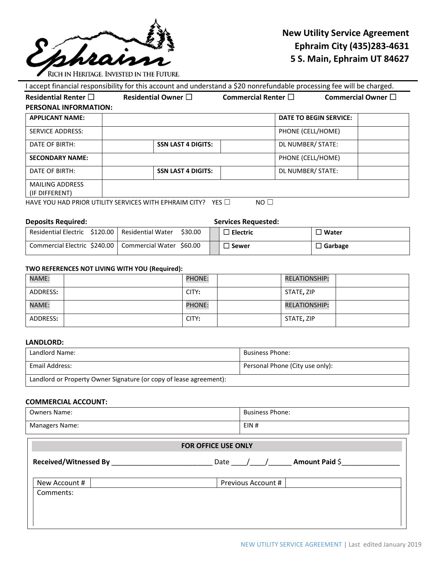

# **New Utility Service Agreement Ephraim City (435)283-4631 5 S. Main, Ephraim UT 84627**

I accept financial responsibility for this account and understand a \$20 nonrefundable processing fee will be charged. **Residential Renter** ☐ **Residential Owner** ☐ **Commercial Renter** ☐ **Commercial Owner** ☐ **PERSONAL INFORMATION: APPLICANT NAME: DATE TO BEGIN SERVICE:** SERVICE ADDRESS: PHONE (CELL/HOME) DATE OF BIRTH: **SAME ARE ASSIGNED SOME LAST 4 DIGITS: DE NUMBER/ STATE: DE NUMBER/ STATE: SECONDARY NAME:**  $\begin{array}{|c|c|c|c|c|}\n\hline\n\end{array}$  PHONE (CELL/HOME) DATE OF BIRTH: **SAME ARE ASSIGNED SOME LAST 4 DIGITS: DE NUMBER/ STATE: DE NUMBER/ STATE:** MAILING ADDRESS (IF DIFFERENT) HAVE YOU HAD PRIOR UTILITY SERVICES WITH EPHRAIM CITY? YES □ NO □

**Deposits Required: Services Requested:**

| Residential Electric \$120.00                           | Residential Water<br>\$30.00 | <b>Electric</b> | <b>Water</b> |
|---------------------------------------------------------|------------------------------|-----------------|--------------|
| Commercial Electric \$240.00   Commercial Water \$60.00 |                              | <b>Sewer</b>    | Garbage      |

#### **TWO REFERENCES NOT LIVING WITH YOU (Required):**

| <b>NAME:</b> | <b>PHONE:</b> | <b>RELATIONSHIP:</b> |
|--------------|---------------|----------------------|
| ADDRESS:     | CITY:         | STATE, ZIP           |
| NAME:        | <b>PHONE:</b> | <b>RELATIONSHIP:</b> |
| ADDRESS:     | CITY:         | STATE, ZIP           |

#### **LANDLORD:**

| Landlord Name:                                                     | <b>Business Phone:</b>          |  |
|--------------------------------------------------------------------|---------------------------------|--|
| Email Address:                                                     | Personal Phone (City use only): |  |
| Landlord or Property Owner Signature (or copy of lease agreement): |                                 |  |

## **COMMERCIAL ACCOUNT:**

| <b>Owners Name:</b>       | <b>Business Phone:</b> |  |  |  |
|---------------------------|------------------------|--|--|--|
| <b>Managers Name:</b>     | EIN#                   |  |  |  |
| _ _ _ _ _ _ _ _ _ _ _ _ _ |                        |  |  |  |

| Amount Paid \$<br>Date |
|------------------------|
| Previous Account #     |
|                        |